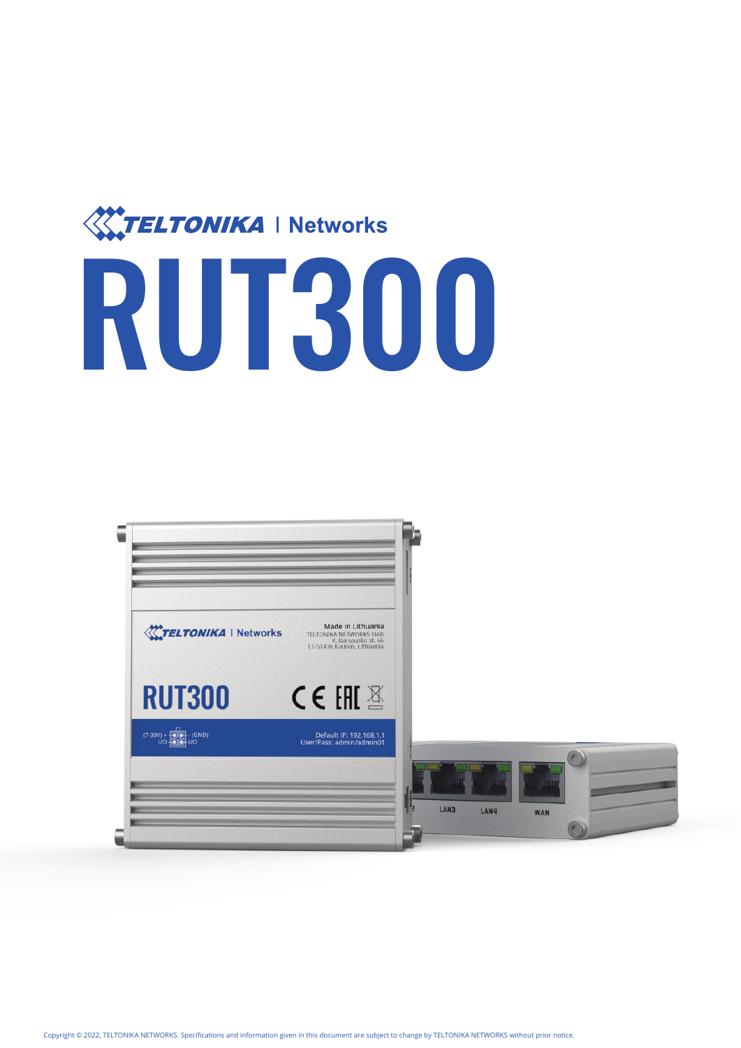

# RUT300

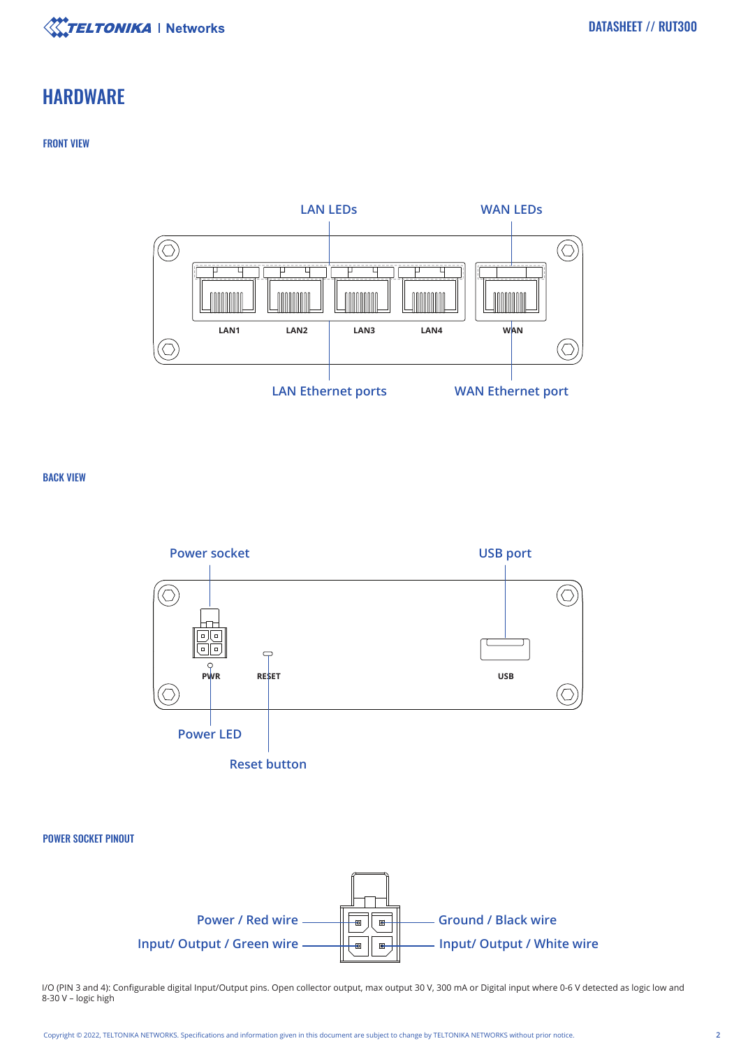

## **HARDWARE**

#### FRONT VIEW



BACK VIEW





I/O (PIN 3 and 4): Configurable digital Input/Output pins. Open collector output, max output 30 V, 300 mA or Digital input where 0-6 V detected as logic low and 8-30 V – logic high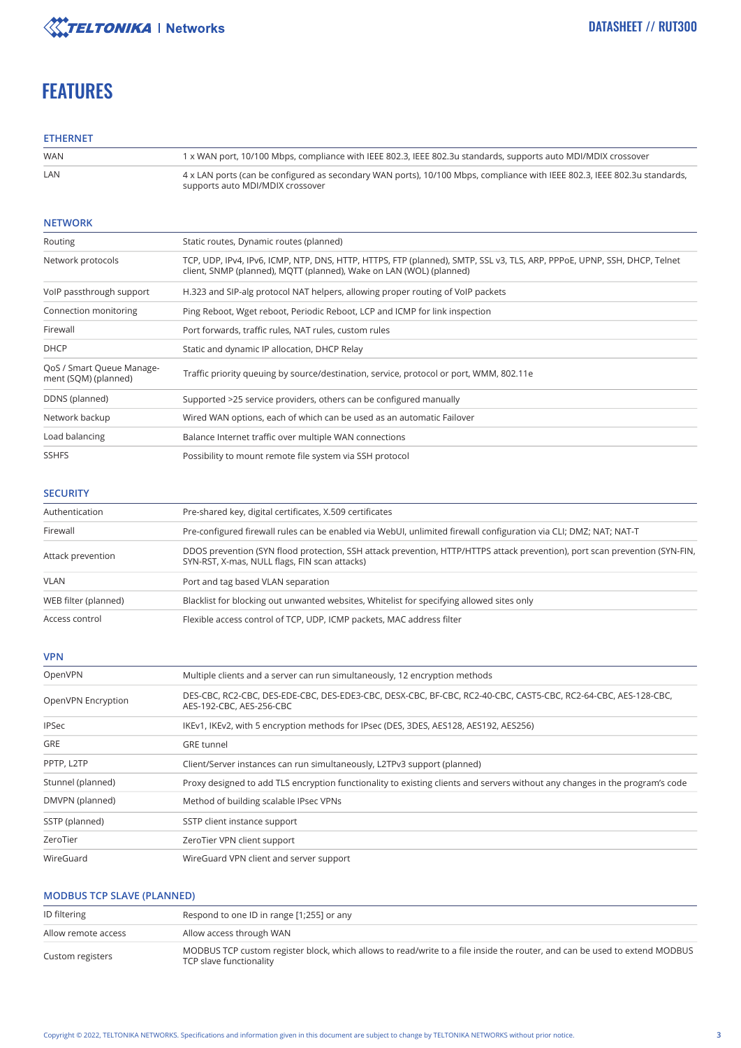

# **FEATURES**

#### **ETHERNET**

| <b>WAN</b> | 1 x WAN port, 10/100 Mbps, compliance with IEEE 802.3, IEEE 802.3u standards, supports auto MDI/MDIX crossover                                                |
|------------|---------------------------------------------------------------------------------------------------------------------------------------------------------------|
| LAN        | 4 x LAN ports (can be configured as secondary WAN ports), 10/100 Mbps, compliance with IEEE 802.3, IEEE 802.3u standards,<br>supports auto MDI/MDIX crossover |

#### **NETWORK**

| Routing                                           | Static routes, Dynamic routes (planned)                                                                                                                                                         |
|---------------------------------------------------|-------------------------------------------------------------------------------------------------------------------------------------------------------------------------------------------------|
| Network protocols                                 | TCP, UDP, IPv4, IPv6, ICMP, NTP, DNS, HTTP, HTTPS, FTP (planned), SMTP, SSL v3, TLS, ARP, PPPoE, UPNP, SSH, DHCP, Telnet<br>client, SNMP (planned), MOTT (planned), Wake on LAN (WOL) (planned) |
| VoIP passthrough support                          | H.323 and SIP-alg protocol NAT helpers, allowing proper routing of VoIP packets                                                                                                                 |
| Connection monitoring                             | Ping Reboot, Wget reboot, Periodic Reboot, LCP and ICMP for link inspection                                                                                                                     |
| Firewall                                          | Port forwards, traffic rules, NAT rules, custom rules                                                                                                                                           |
| <b>DHCP</b>                                       | Static and dynamic IP allocation, DHCP Relay                                                                                                                                                    |
| QoS / Smart Queue Manage-<br>ment (SQM) (planned) | Traffic priority queuing by source/destination, service, protocol or port, WMM, 802.11e                                                                                                         |
| DDNS (planned)                                    | Supported >25 service providers, others can be configured manually                                                                                                                              |
| Network backup                                    | Wired WAN options, each of which can be used as an automatic Failover                                                                                                                           |
| Load balancing                                    | Balance Internet traffic over multiple WAN connections                                                                                                                                          |
| <b>SSHFS</b>                                      | Possibility to mount remote file system via SSH protocol                                                                                                                                        |

#### **SECURITY**

| Authentication       | Pre-shared key, digital certificates, X.509 certificates                                                                                                                     |
|----------------------|------------------------------------------------------------------------------------------------------------------------------------------------------------------------------|
| Firewall             | Pre-configured firewall rules can be enabled via WebUI, unlimited firewall configuration via CLI; DMZ; NAT; NAT-T                                                            |
| Attack prevention    | DDOS prevention (SYN flood protection, SSH attack prevention, HTTP/HTTPS attack prevention), port scan prevention (SYN-FIN,<br>SYN-RST, X-mas, NULL flags, FIN scan attacks) |
| <b>VLAN</b>          | Port and tag based VLAN separation                                                                                                                                           |
| WEB filter (planned) | Blacklist for blocking out unwanted websites, Whitelist for specifying allowed sites only                                                                                    |
| Access control       | Flexible access control of TCP, UDP, ICMP packets, MAC address filter                                                                                                        |

#### **VPN**

| OpenVPN            | Multiple clients and a server can run simultaneously, 12 encryption methods                                                                |
|--------------------|--------------------------------------------------------------------------------------------------------------------------------------------|
| OpenVPN Encryption | DES-CBC, RC2-CBC, DES-EDE-CBC, DES-EDE3-CBC, DESX-CBC, BF-CBC, RC2-40-CBC, CAST5-CBC, RC2-64-CBC, AES-128-CBC,<br>AES-192-CBC, AES-256-CBC |
| <b>IPSec</b>       | IKEv1, IKEv2, with 5 encryption methods for IPsec (DES, 3DES, AES128, AES192, AES256)                                                      |
| <b>GRE</b>         | <b>GRE</b> tunnel                                                                                                                          |
| PPTP, L2TP         | Client/Server instances can run simultaneously, L2TPv3 support (planned)                                                                   |
| Stunnel (planned)  | Proxy designed to add TLS encryption functionality to existing clients and servers without any changes in the program's code               |
| DMVPN (planned)    | Method of building scalable IPsec VPNs                                                                                                     |
| SSTP (planned)     | SSTP client instance support                                                                                                               |
| ZeroTier           | ZeroTier VPN client support                                                                                                                |
| WireGuard          | WireGuard VPN client and server support                                                                                                    |

#### **MODBUS TCP SLAVE (PLANNED)**

| ID filtering        | Respond to one ID in range [1;255] or any                                                                                                             |
|---------------------|-------------------------------------------------------------------------------------------------------------------------------------------------------|
| Allow remote access | Allow access through WAN                                                                                                                              |
| Custom registers    | MODBUS TCP custom register block, which allows to read/write to a file inside the router, and can be used to extend MODBUS<br>TCP slave functionality |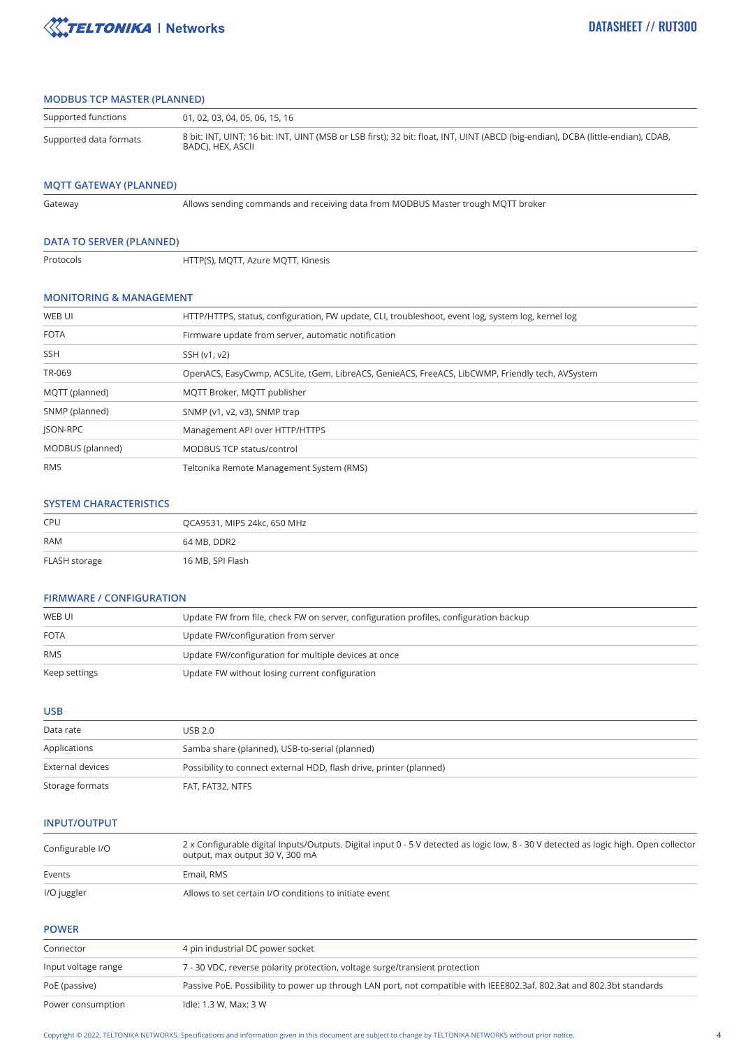

#### **MODBUS TCP MASTER (PLANNED)**

| Supported functions    | 01, 02, 03, 04, 05, 06, 15, 16                                                                                                                        |
|------------------------|-------------------------------------------------------------------------------------------------------------------------------------------------------|
| Supported data formats | 8 bit: INT, UINT; 16 bit: INT, UINT (MSB or LSB first); 32 bit: float, INT, UINT (ABCD (big-endian), DCBA (little-endian), CDAB,<br>BADC). HEX. ASCII |

#### **MQTT GATEWAY (PLANNED)**

Gateway

Allows sending commands and receiving data from MODBUS Master trough MQTT broker

#### **DATA TO SERVER (PLANNED)**

Protocols

HTTP(S), MQTT, Azure MQTT, Kinesis

#### **MONITORING & MANAGEMENT**

| WEB UI           | HTTP/HTTPS, status, configuration, FW update, CLI, troubleshoot, event log, system log, kernel log |
|------------------|----------------------------------------------------------------------------------------------------|
| <b>FOTA</b>      | Firmware update from server, automatic notification                                                |
| <b>SSH</b>       | SSH (v1, v2)                                                                                       |
| TR-069           | OpenACS, EasyCwmp, ACSLite, tGem, LibreACS, GenieACS, FreeACS, LibCWMP, Friendly tech, AVSystem    |
| MQTT (planned)   | MOTT Broker, MOTT publisher                                                                        |
| SNMP (planned)   | SNMP (v1, v2, v3), SNMP trap                                                                       |
| <b>ISON-RPC</b>  | Management API over HTTP/HTTPS                                                                     |
| MODBUS (planned) | MODBUS TCP status/control                                                                          |
| <b>RMS</b>       | Teltonika Remote Management System (RMS)                                                           |

#### **SYSTEM CHARACTERISTICS**

| CPU           | QCA9531, MIPS 24kc, 650 MHz |
|---------------|-----------------------------|
| <b>RAM</b>    | 64 MB, DDR2                 |
| FLASH storage | 16 MB, SPI Flash            |

#### **FIRMWARE / CONFIGURATION**

| WEB UI        | Update FW from file, check FW on server, configuration profiles, configuration backup |
|---------------|---------------------------------------------------------------------------------------|
| <b>FOTA</b>   | Update FW/configuration from server                                                   |
| <b>RMS</b>    | Update FW/configuration for multiple devices at once                                  |
| Keep settings | Update FW without losing current configuration                                        |

**USB**

| Data rate        | USB 2.0                                                             |
|------------------|---------------------------------------------------------------------|
| Applications     | Samba share (planned), USB-to-serial (planned)                      |
| External devices | Possibility to connect external HDD, flash drive, printer (planned) |
| Storage formats  | FAT, FAT32, NTFS                                                    |

#### **INPUT/OUTPUT**

| Configurable I/O | 2 x Configurable digital Inputs/Outputs. Digital input 0 - 5 V detected as logic low, 8 - 30 V detected as logic high. Open collector<br>output, max output 30 V, 300 mA |
|------------------|--------------------------------------------------------------------------------------------------------------------------------------------------------------------------|
| Events           | Email, RMS                                                                                                                                                               |
| I/O juggler      | Allows to set certain I/O conditions to initiate event                                                                                                                   |

#### **POWER**

| Connector           | 4 pin industrial DC power socket                                                                                      |
|---------------------|-----------------------------------------------------------------------------------------------------------------------|
| Input voltage range | 7 - 30 VDC, reverse polarity protection, voltage surge/transient protection                                           |
| PoE (passive)       | Passive PoE. Possibility to power up through LAN port, not compatible with IEEE802.3af, 802.3at and 802.3bt standards |
| Power consumption   | Idle: 1.3 W, Max: 3 W                                                                                                 |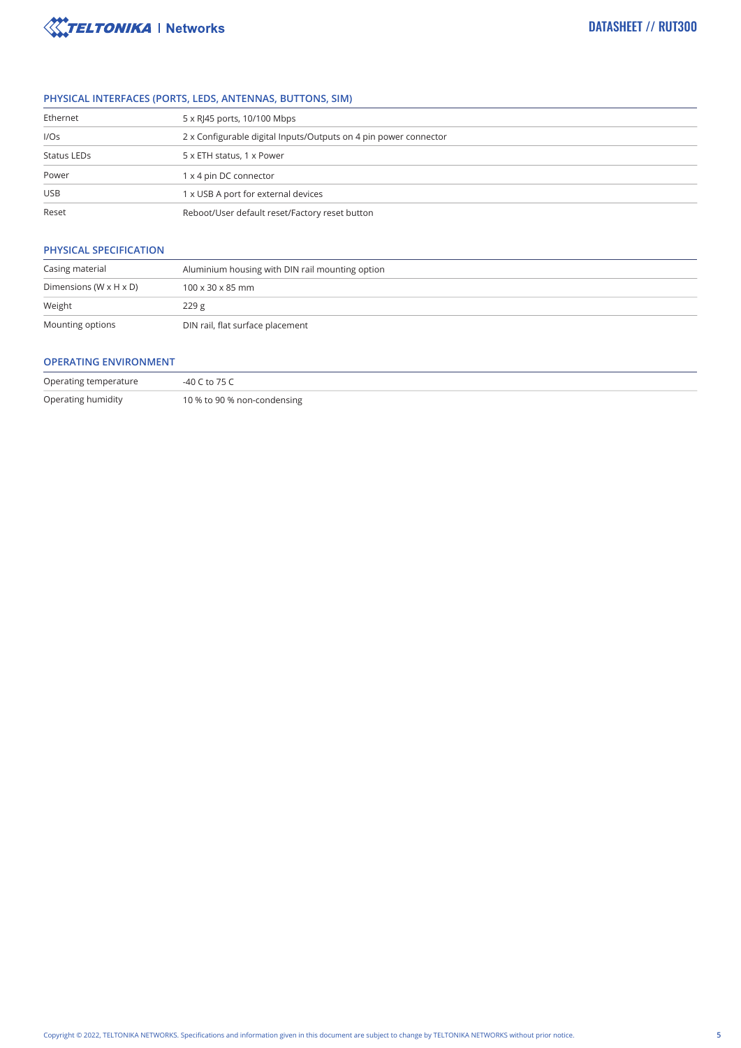

#### **PHYSICAL INTERFACES (PORTS, LEDS, ANTENNAS, BUTTONS, SIM)**

| Ethernet    | 5 x RJ45 ports, 10/100 Mbps                                      |
|-------------|------------------------------------------------------------------|
| I/OS        | 2 x Configurable digital Inputs/Outputs on 4 pin power connector |
| Status LEDs | 5 x ETH status, 1 x Power                                        |
| Power       | 1 x 4 pin DC connector                                           |
| <b>USB</b>  | 1 x USB A port for external devices                              |
| Reset       | Reboot/User default reset/Factory reset button                   |

### **PHYSICAL SPECIFICATION**

| Casing material                      | Aluminium housing with DIN rail mounting option |  |
|--------------------------------------|-------------------------------------------------|--|
| Dimensions (W $\times$ H $\times$ D) | $100 \times 30 \times 85$ mm                    |  |
| Weight                               | 229g                                            |  |
| Mounting options                     | DIN rail, flat surface placement                |  |

#### **OPERATING ENVIRONMENT**

| Operating temperature | -40 C to 75 C               |
|-----------------------|-----------------------------|
| Operating humidity    | 10 % to 90 % non-condensing |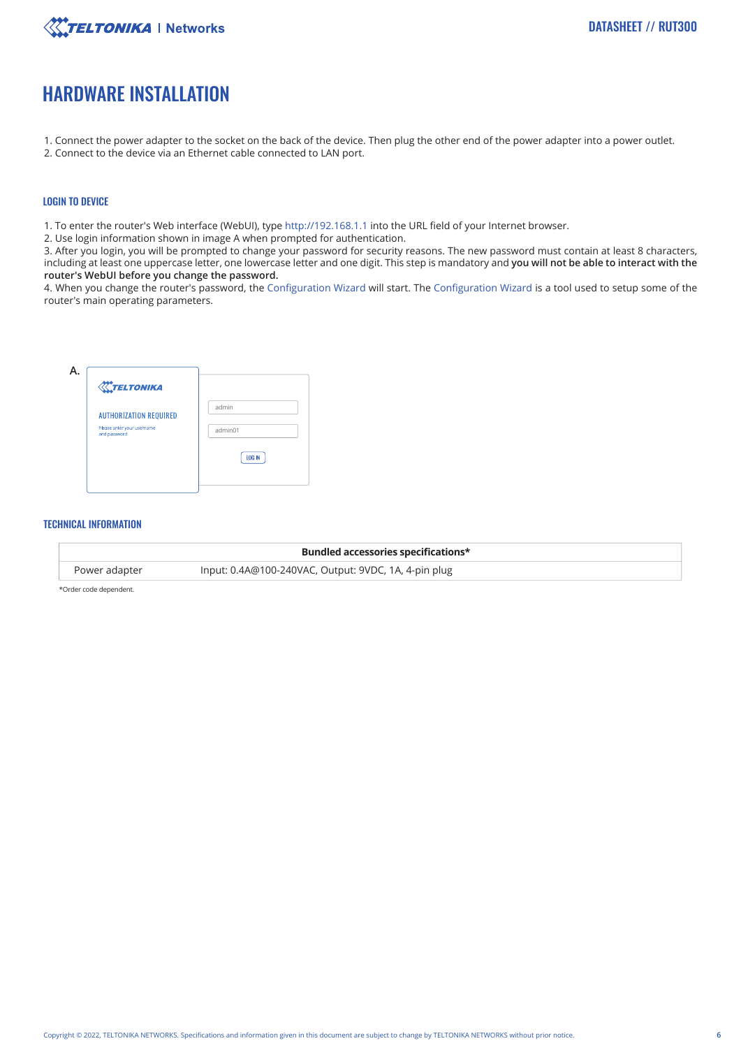

## HARDWARE INSTALLATION

- 1. Connect the power adapter to the socket on the back of the device. Then plug the other end of the power adapter into a power outlet.
- 2. Connect to the device via an Ethernet cable connected to LAN port.

#### LOGIN TO DEVICE

1. To enter the router's Web interface (WebUI), type http://192.168.1.1 into the URL field of your Internet browser.

2. Use login information shown in image A when prompted for authentication.

3. After you login, you will be prompted to change your password for security reasons. The new password must contain at least 8 characters, including at least one uppercase letter, one lowercase letter and one digit. This step is mandatory and **you will not be able to interact with the router's WebUI before you change the password.**

4. When you change the router's password, the Configuration Wizard will start. The Configuration Wizard is a tool used to setup some of the router's main operating parameters.



#### TECHNICAL INFORMATION

|               | Bundled accessories specifications*                  |
|---------------|------------------------------------------------------|
| Power adapter | Input: 0.4A@100-240VAC, Output: 9VDC, 1A, 4-pin plug |

\*Order code dependent.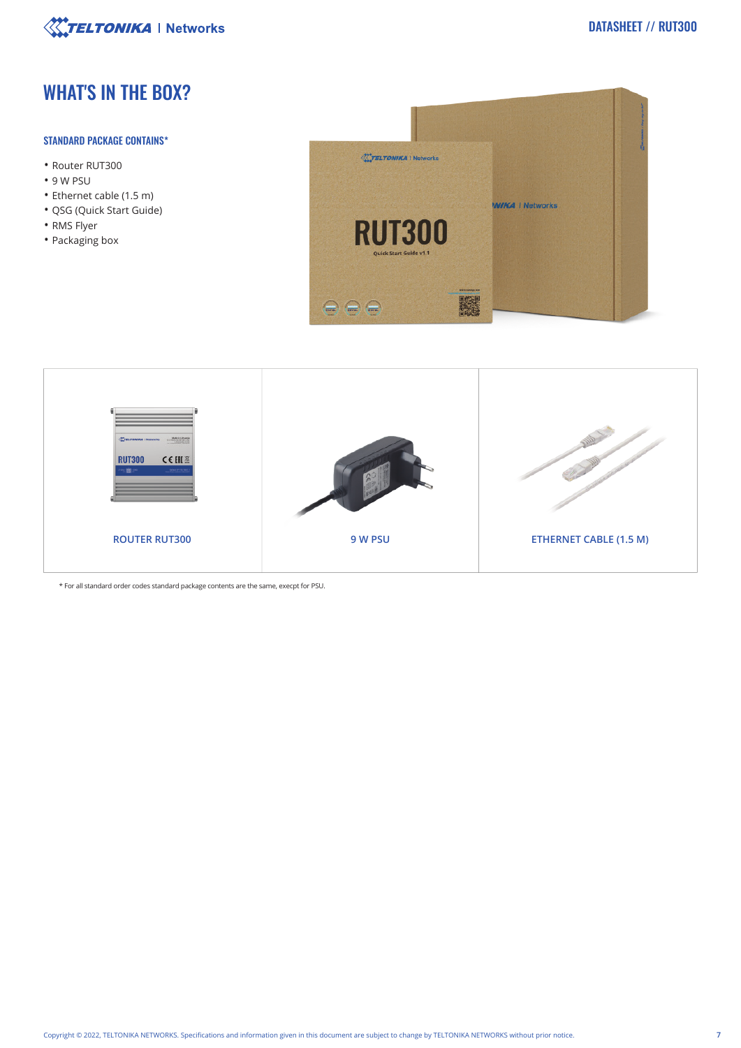

# WHAT'S IN THE BOX?

#### STANDARD PACKAGE CONTAINS\*

- Router RUT300
- 9 W PSU
- Ethernet cable (1.5 m)
- QSG (Quick Start Guide)
- RMS Flyer
- Packaging box





\* For all standard order codes standard package contents are the same, execpt for PSU.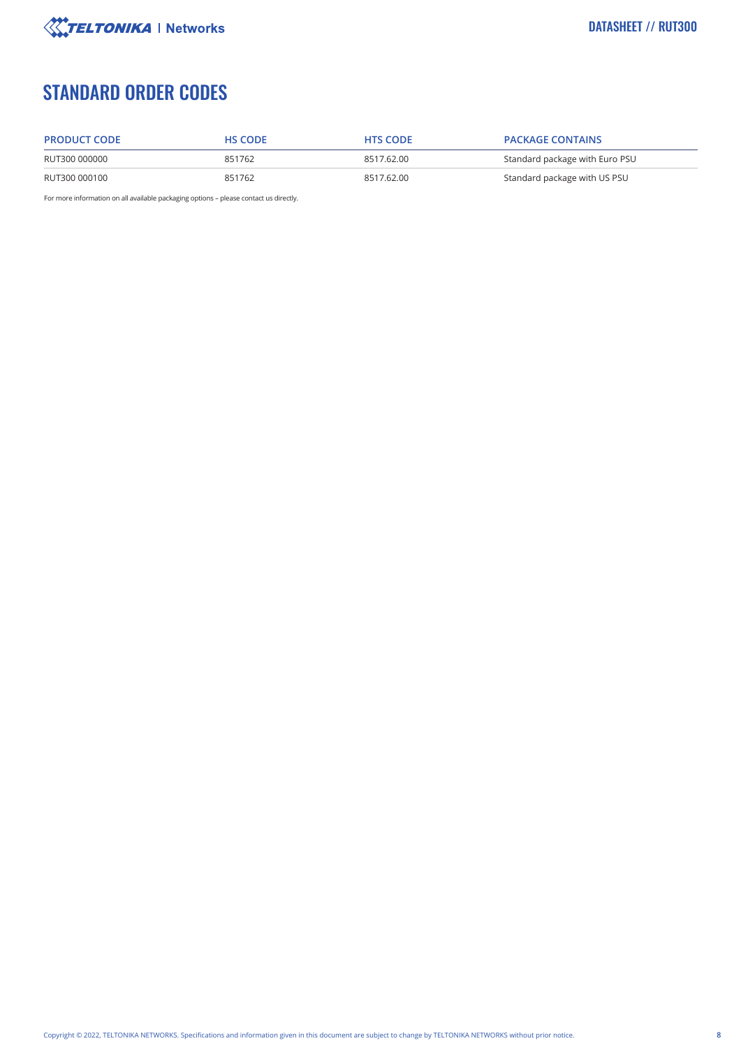

# STANDARD ORDER CODES

| <b>PRODUCT CODE</b> | <b>HS CODE</b> | <b>HTS CODE</b> | <b>PACKAGE CONTAINS</b>        |
|---------------------|----------------|-----------------|--------------------------------|
| RUT300 000000       | 851762         | 8517.62.00      | Standard package with Euro PSU |
| RUT300 000100       | 851762         | 8517.62.00      | Standard package with US PSU   |

For more information on all available packaging options – please contact us directly.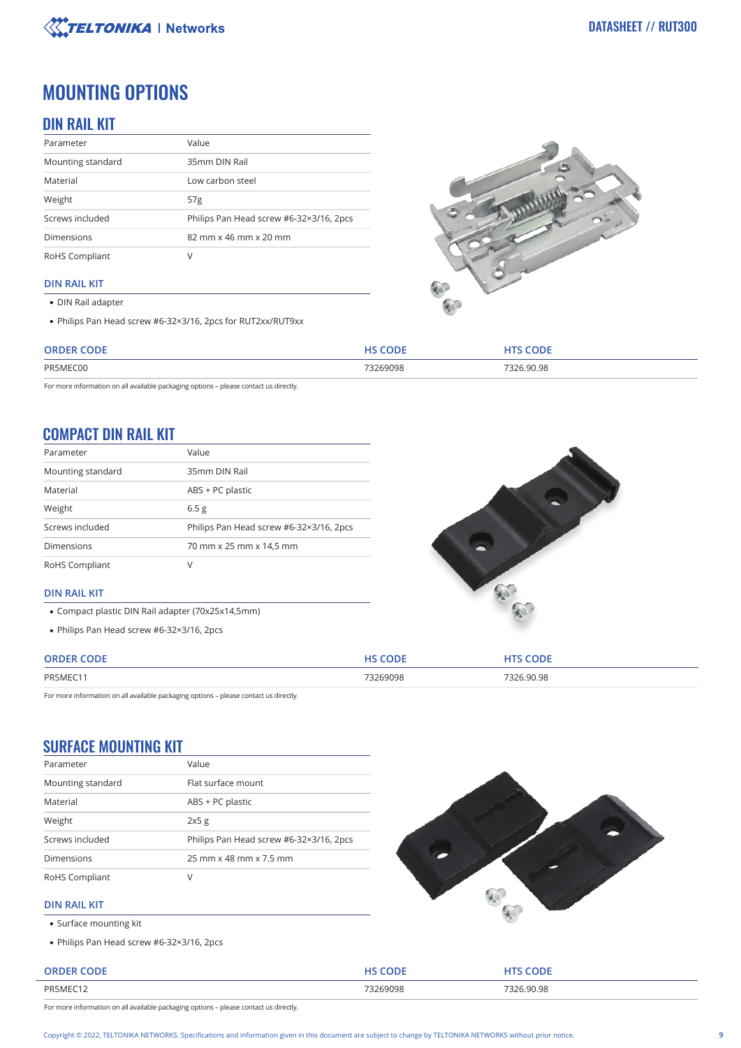

## MOUNTING OPTIONS

## DIN RAIL KIT

| Parameter         | Value                                   |
|-------------------|-----------------------------------------|
| Mounting standard | 35mm DIN Rail                           |
| Material          | Low carbon steel                        |
| Weight            | 57 <sub>g</sub>                         |
| Screws included   | Philips Pan Head screw #6-32×3/16, 2pcs |
| <b>Dimensions</b> | 82 mm x 46 mm x 20 mm                   |
| RoHS Compliant    |                                         |

#### **DIN RAIL KIT**

- DIN Rail adapter
- Philips Pan Head screw #6-32×3/16, 2pcs for RUT2xx/RUT9xx



| CODE<br>ORDER | HS CODE  | <b>CODE</b> |
|---------------|----------|-------------|
| PR5MEC00      | 73269098 | 7326.90.98  |
| .             | .        | .           |

For more information on all available packaging options – please contact us directly.

## COMPACT DIN RAIL KIT

| Parameter         | Value                                   |
|-------------------|-----------------------------------------|
| Mounting standard | 35mm DIN Rail                           |
| Material          | ABS + PC plastic                        |
| Weight            | 6.5 <sub>g</sub>                        |
| Screws included   | Philips Pan Head screw #6-32×3/16, 2pcs |
| <b>Dimensions</b> | 70 mm x 25 mm x 14,5 mm                 |
| RoHS Compliant    |                                         |



#### **DIN RAIL KIT**

- Compact plastic DIN Rail adapter (70x25x14,5mm)
- Philips Pan Head screw #6-32×3/16, 2pcs

| <b>ORDEI</b> |         | )DE   |
|--------------|---------|-------|
| PR5MEC1      | 3269098 | 90.98 |
|              |         |       |

For more information on all available packaging options – please contact us directly.

## SURFACE MOUNTING KIT

| Parameter         | Value                                   |  |
|-------------------|-----------------------------------------|--|
| Mounting standard | Flat surface mount                      |  |
| Material          | ABS + PC plastic                        |  |
| Weight            | 2x5g                                    |  |
| Screws included   | Philips Pan Head screw #6-32×3/16, 2pcs |  |
| <b>Dimensions</b> | 25 mm x 48 mm x 7.5 mm                  |  |
| RoHS Compliant    | V                                       |  |



#### **DIN RAIL KIT**

- Surface mounting kit
- Philips Pan Head screw #6-32×3/16, 2pcs

| <b>ORDER CODE</b> | <b>HS CODE</b> | <b>HTS CODE</b> |
|-------------------|----------------|-----------------|
| PR5MEC12          | 73269098       | 7326.90.98      |

For more information on all available packaging options – please contact us directly.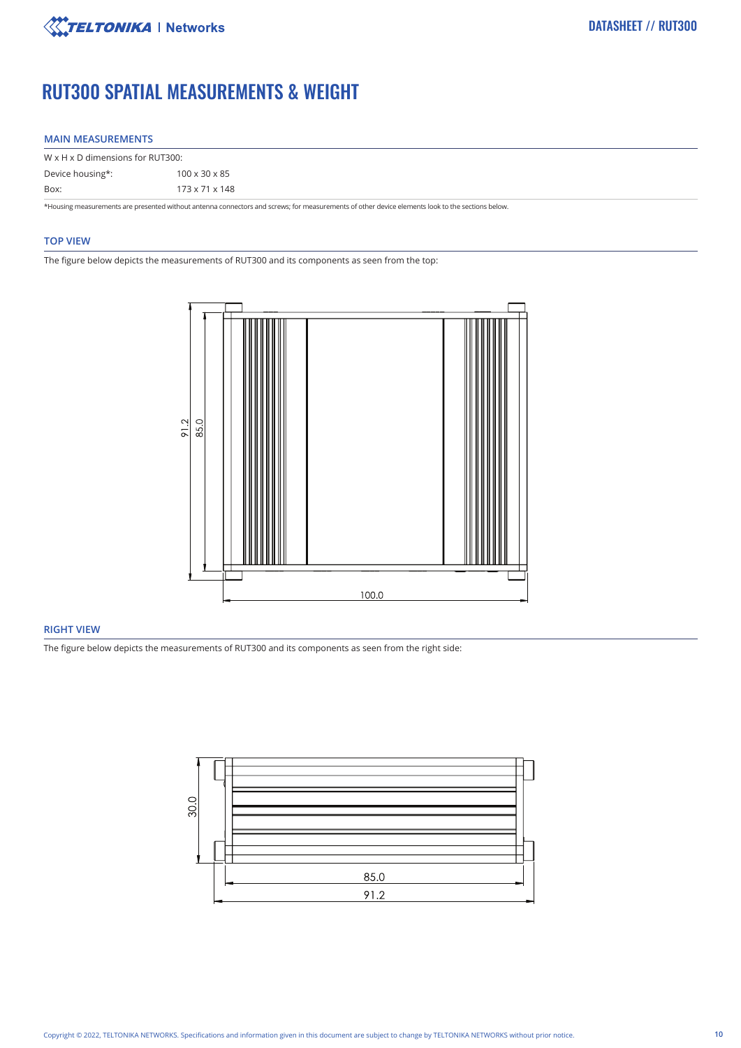

# RUT300 SPATIAL MEASUREMENTS & WEIGHT

#### **MAIN MEASUREMENTS**

| $W \times H \times D$ dimensions for RUT300:                                                                                                     |                           |  |
|--------------------------------------------------------------------------------------------------------------------------------------------------|---------------------------|--|
| Device housing*:                                                                                                                                 | $100 \times 30 \times 85$ |  |
| Box:                                                                                                                                             | 173 x 71 x 148            |  |
| *Housing measurements are presented without antenna connectors and screws; for measurements of other device elements look to the sections below. |                           |  |

#### **TOP VIEW**

The figure below depicts the measurements of RUT300 and its components as seen from the top:



#### **RIGHT VIEW**

The figure below depicts the measurements of RUT300 and its components as seen from the right side:

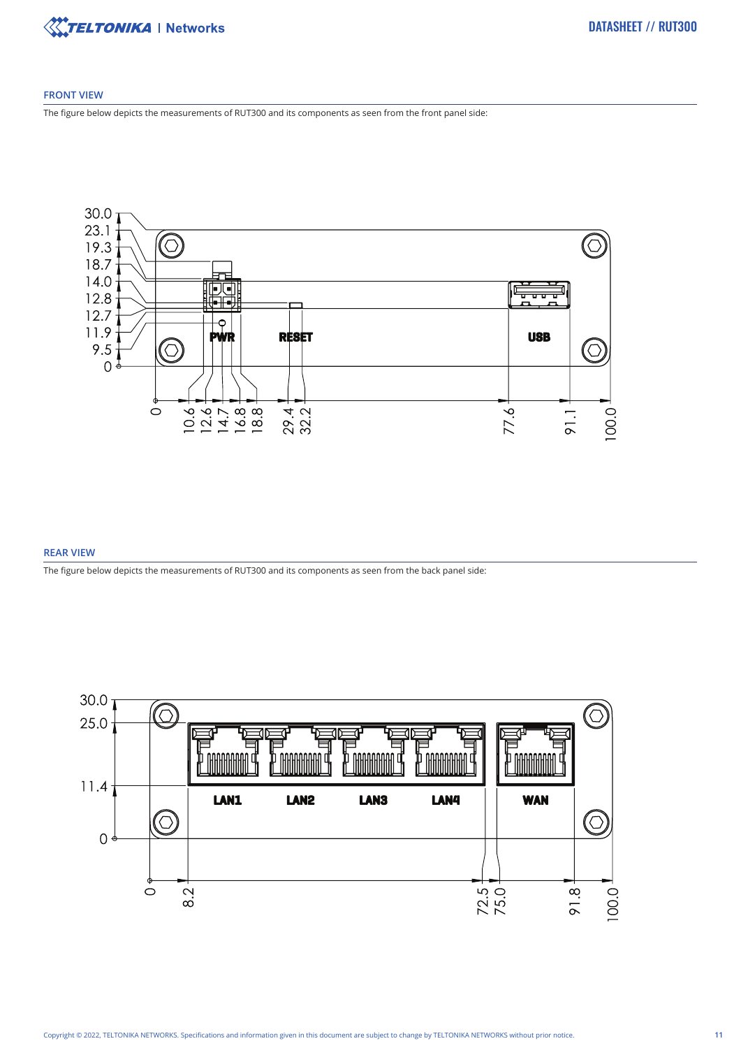

#### **FRONT VIEW**

The figure below depicts the measurements of RUT300 and its components as seen from the front panel side:



#### **REAR VIEW**

The figure below depicts the measurements of RUT300 and its components as seen from the back panel side:

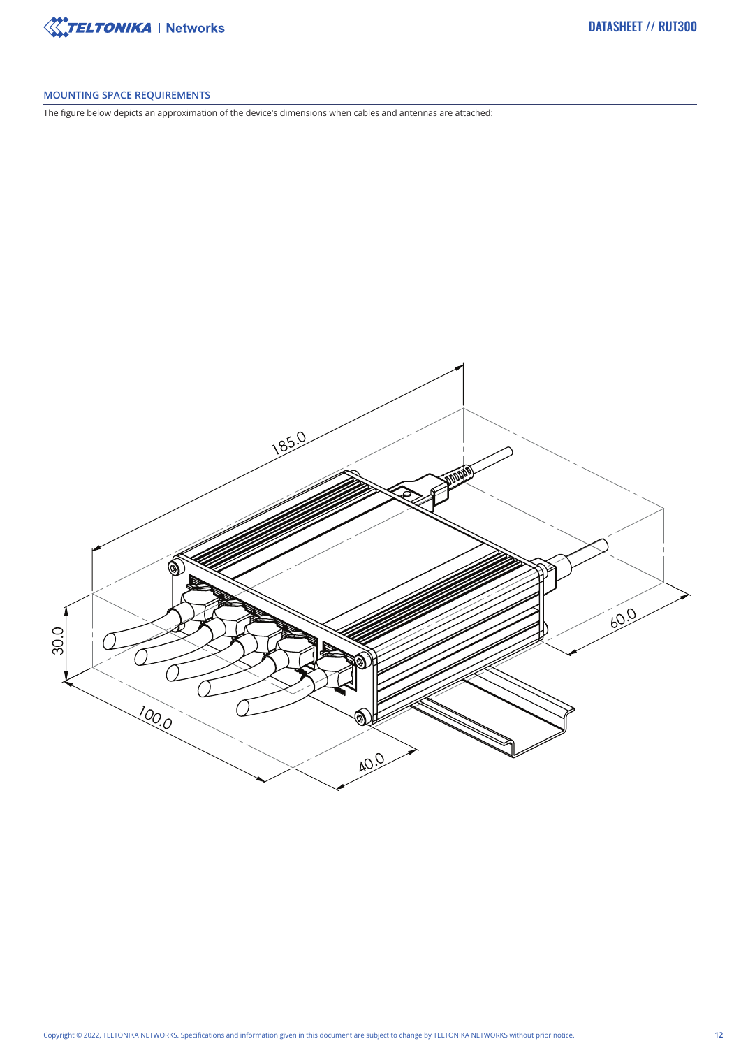

#### **MOUNTING SPACE REQUIREMENTS**

The figure below depicts an approximation of the device's dimensions when cables and antennas are attached: